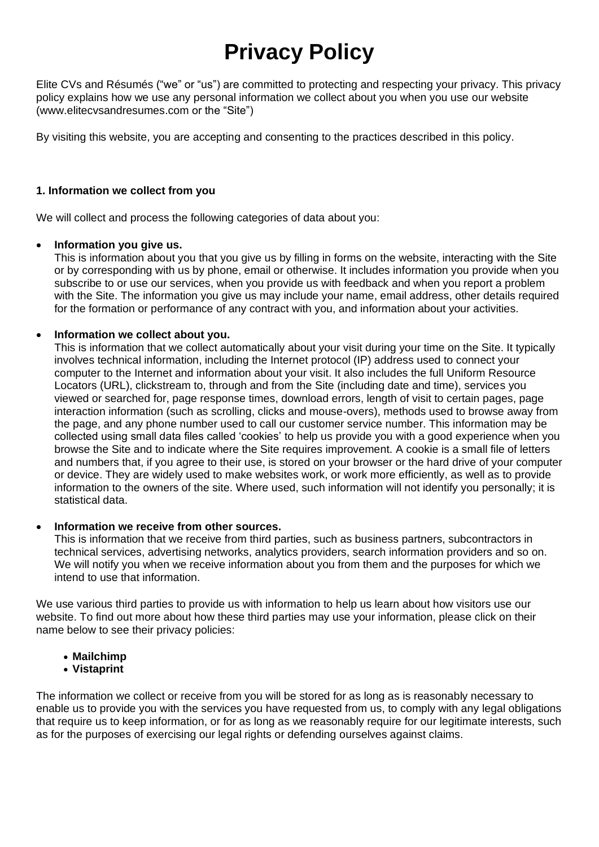# **Privacy Policy**

Elite CVs and Résumés ("we" or "us") are committed to protecting and respecting your privacy. This privacy policy explains how we use any personal information we collect about you when you use our website (www.elitecvsandresumes.com or the "Site")

By visiting this website, you are accepting and consenting to the practices described in this policy.

# **1. Information we collect from you**

We will collect and process the following categories of data about you:

# • **Information you give us.**

This is information about you that you give us by filling in forms on the website, interacting with the Site or by corresponding with us by phone, email or otherwise. It includes information you provide when you subscribe to or use our services, when you provide us with feedback and when you report a problem with the Site. The information you give us may include your name, email address, other details required for the formation or performance of any contract with you, and information about your activities.

#### • **Information we collect about you.**

This is information that we collect automatically about your visit during your time on the Site. It typically involves technical information, including the Internet protocol (IP) address used to connect your computer to the Internet and information about your visit. It also includes the full Uniform Resource Locators (URL), clickstream to, through and from the Site (including date and time), services you viewed or searched for, page response times, download errors, length of visit to certain pages, page interaction information (such as scrolling, clicks and mouse-overs), methods used to browse away from the page, and any phone number used to call our customer service number. This information may be collected using small data files called 'cookies' to help us provide you with a good experience when you browse the Site and to indicate where the Site requires improvement. A cookie is a small file of letters and numbers that, if you agree to their use, is stored on your browser or the hard drive of your computer or device. They are widely used to make websites work, or work more efficiently, as well as to provide information to the owners of the site. Where used, such information will not identify you personally; it is statistical data.

#### • **Information we receive from other sources.**

This is information that we receive from third parties, such as business partners, subcontractors in technical services, advertising networks, analytics providers, search information providers and so on. We will notify you when we receive information about you from them and the purposes for which we intend to use that information.

We use various third parties to provide us with information to help us learn about how visitors use our website. To find out more about how these third parties may use your information, please click on their name below to see their privacy policies:

- **[Mailchimp](https://mailchimp.com/legal/privacy/)**
- **[Vistaprint](https://www.vistaprint.co.uk/customer-care/cookies-and-privacy.aspx)**

The information we collect or receive from you will be stored for as long as is reasonably necessary to enable us to provide you with the services you have requested from us, to comply with any legal obligations that require us to keep information, or for as long as we reasonably require for our legitimate interests, such as for the purposes of exercising our legal rights or defending ourselves against claims.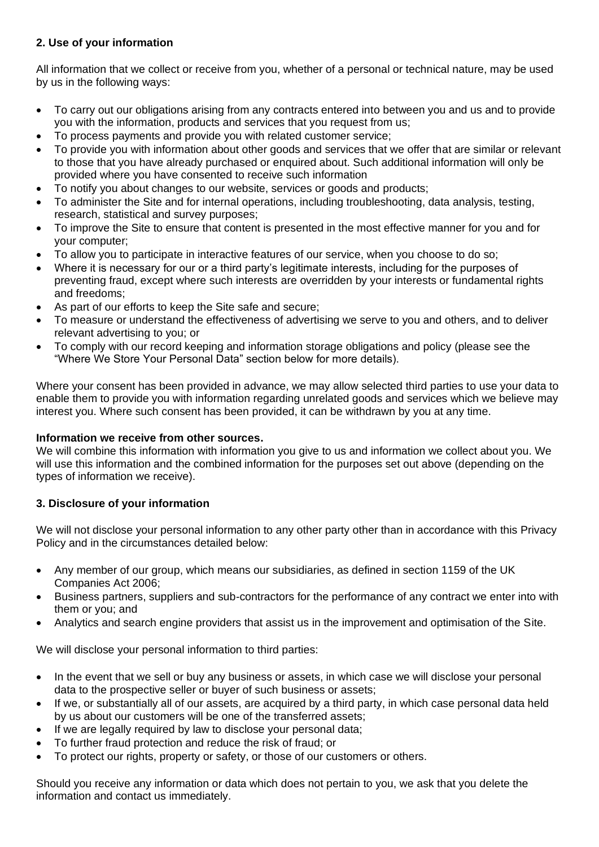# **2. Use of your information**

All information that we collect or receive from you, whether of a personal or technical nature, may be used by us in the following ways:

- To carry out our obligations arising from any contracts entered into between you and us and to provide you with the information, products and services that you request from us;
- To process payments and provide you with related customer service;
- To provide you with information about other goods and services that we offer that are similar or relevant to those that you have already purchased or enquired about. Such additional information will only be provided where you have consented to receive such information
- To notify you about changes to our website, services or goods and products;
- To administer the Site and for internal operations, including troubleshooting, data analysis, testing, research, statistical and survey purposes;
- To improve the Site to ensure that content is presented in the most effective manner for you and for your computer;
- To allow you to participate in interactive features of our service, when you choose to do so;
- Where it is necessary for our or a third party's legitimate interests, including for the purposes of preventing fraud, except where such interests are overridden by your interests or fundamental rights and freedoms;
- As part of our efforts to keep the Site safe and secure;
- To measure or understand the effectiveness of advertising we serve to you and others, and to deliver relevant advertising to you; or
- To comply with our record keeping and information storage obligations and policy (please see the "Where We Store Your Personal Data" section below for more details).

Where your consent has been provided in advance, we may allow selected third parties to use your data to enable them to provide you with information regarding unrelated goods and services which we believe may interest you. Where such consent has been provided, it can be withdrawn by you at any time.

#### **Information we receive from other sources.**

We will combine this information with information you give to us and information we collect about you. We will use this information and the combined information for the purposes set out above (depending on the types of information we receive).

# **3. Disclosure of your information**

We will not disclose your personal information to any other party other than in accordance with this Privacy Policy and in the circumstances detailed below:

- Any member of our group, which means our subsidiaries, as defined in section 1159 of the UK Companies Act 2006;
- Business partners, suppliers and sub-contractors for the performance of any contract we enter into with them or you; and
- Analytics and search engine providers that assist us in the improvement and optimisation of the Site.

We will disclose your personal information to third parties:

- In the event that we sell or buy any business or assets, in which case we will disclose your personal data to the prospective seller or buyer of such business or assets;
- If we, or substantially all of our assets, are acquired by a third party, in which case personal data held by us about our customers will be one of the transferred assets;
- If we are legally required by law to disclose your personal data;
- To further fraud protection and reduce the risk of fraud; or
- To protect our rights, property or safety, or those of our customers or others.

Should you receive any information or data which does not pertain to you, we ask that you delete the information and contact us immediately.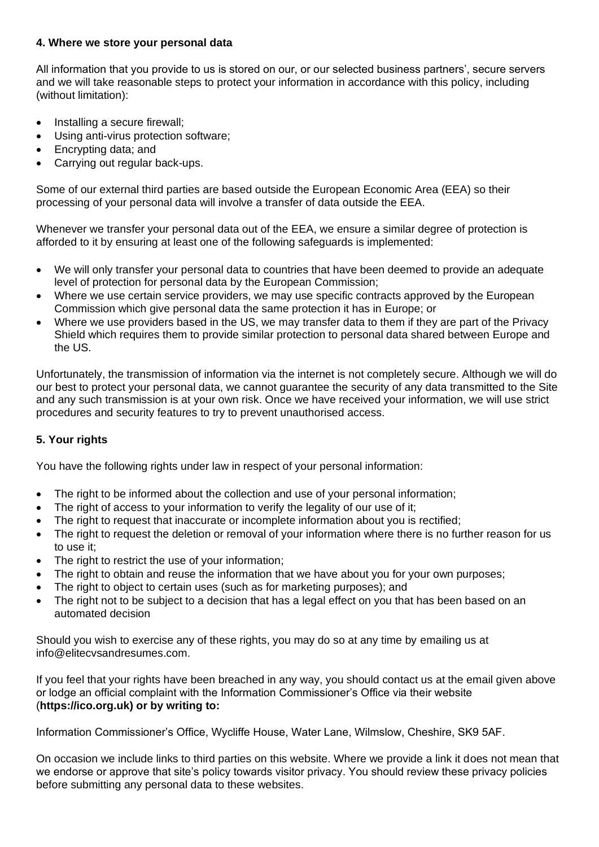#### **4. Where we store your personal data**

All information that you provide to us is stored on our, or our selected business partners', secure servers and we will take reasonable steps to protect your information in accordance with this policy, including (without limitation):

- Installing a secure firewall;
- Using anti-virus protection software:
- Encrypting data; and
- Carrying out regular back-ups.

Some of our external third parties are based outside the European Economic Area (EEA) so their processing of your personal data will involve a transfer of data outside the EEA.

Whenever we transfer your personal data out of the EEA, we ensure a similar degree of protection is afforded to it by ensuring at least one of the following safeguards is implemented:

- We will only transfer your personal data to countries that have been deemed to provide an adequate level of protection for personal data by the European Commission;
- Where we use certain service providers, we may use specific contracts approved by the European Commission which give personal data the same protection it has in Europe; or
- Where we use providers based in the US, we may transfer data to them if they are part of the Privacy Shield which requires them to provide similar protection to personal data shared between Europe and the US.

Unfortunately, the transmission of information via the internet is not completely secure. Although we will do our best to protect your personal data, we cannot guarantee the security of any data transmitted to the Site and any such transmission is at your own risk. Once we have received your information, we will use strict procedures and security features to try to prevent unauthorised access.

# **5. Your rights**

You have the following rights under law in respect of your personal information:

- The right to be informed about the collection and use of your personal information;
- The right of access to your information to verify the legality of our use of it;
- The right to request that inaccurate or incomplete information about you is rectified;
- The right to request the deletion or removal of your information where there is no further reason for us to use it;
- The right to restrict the use of your information;
- The right to obtain and reuse the information that we have about you for your own purposes;
- The right to object to certain uses (such as for marketing purposes); and
- The right not to be subject to a decision that has a legal effect on you that has been based on an automated decision

Should you wish to exercise any of these rights, you may do so at any time by emailing us at info@elitecvsandresumes.com.

If you feel that your rights have been breached in any way, you should contact us at the email given above or lodge an official complaint with the Information Commissioner's Office via their website (**[https://ico.org.uk\) or by writing to:](https://ico.org.uk/)**

Information Commissioner's Office, Wycliffe House, Water Lane, Wilmslow, Cheshire, SK9 5AF.

On occasion we include links to third parties on this website. Where we provide a link it does not mean that we endorse or approve that site's policy towards visitor privacy. You should review these privacy policies before submitting any personal data to these websites.